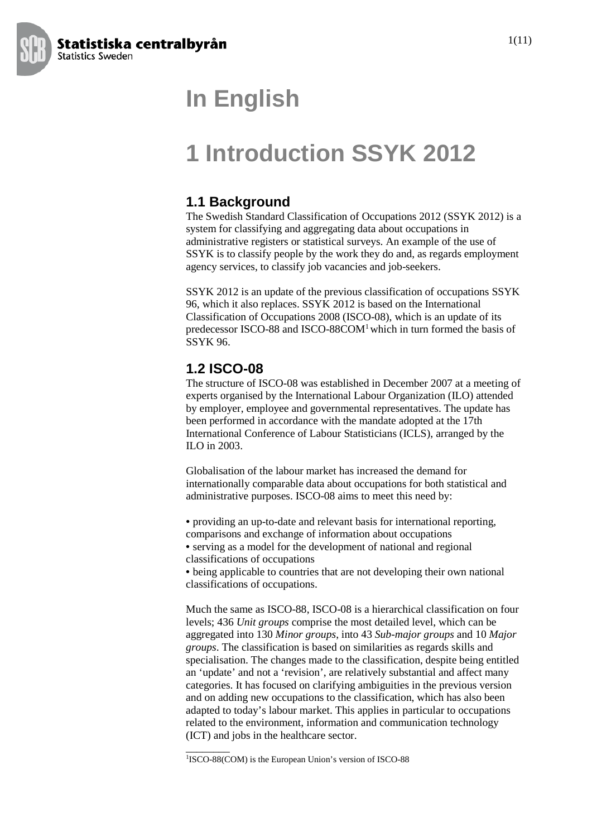

## **In English**

## **1 Introduction SSYK 2012**

#### **1.1 Background**

The Swedish Standard Classification of Occupations 2012 (SSYK 2012) is a system for classifying and aggregating data about occupations in administrative registers or statistical surveys. An example of the use of SSYK is to classify people by the work they do and, as regards employment agency services, to classify job vacancies and job-seekers.

SSYK 2012 is an update of the previous classification of occupations SSYK 96, which it also replaces. SSYK 2012 is based on the International Classification of Occupations 2008 (ISCO-08), which is an update of its predecessor ISCO-88 and ISCO-88COM1which in turn formed the basis of SSYK 96.

#### **1.2 ISCO-08**

The structure of ISCO-08 was established in December 2007 at a meeting of experts organised by the International Labour Organization (ILO) attended by employer, employee and governmental representatives. The update has been performed in accordance with the mandate adopted at the 17th International Conference of Labour Statisticians (ICLS), arranged by the ILO in 2003.

Globalisation of the labour market has increased the demand for internationally comparable data about occupations for both statistical and administrative purposes. ISCO-08 aims to meet this need by:

• providing an up-to-date and relevant basis for international reporting, comparisons and exchange of information about occupations

• serving as a model for the development of national and regional classifications of occupations

• being applicable to countries that are not developing their own national classifications of occupations.

Much the same as ISCO-88, ISCO-08 is a hierarchical classification on four levels; 436 *Unit groups* comprise the most detailed level, which can be aggregated into 130 *Minor groups*, into 43 *Sub-major groups* and 10 *Major groups*. The classification is based on similarities as regards skills and specialisation. The changes made to the classification, despite being entitled an 'update' and not a 'revision', are relatively substantial and affect many categories. It has focused on clarifying ambiguities in the previous version and on adding new occupations to the classification, which has also been adapted to today's labour market. This applies in particular to occupations related to the environment, information and communication technology (ICT) and jobs in the healthcare sector.

\_\_\_\_\_\_\_\_

<sup>&</sup>lt;sup>1</sup>ISCO-88(COM) is the European Union's version of ISCO-88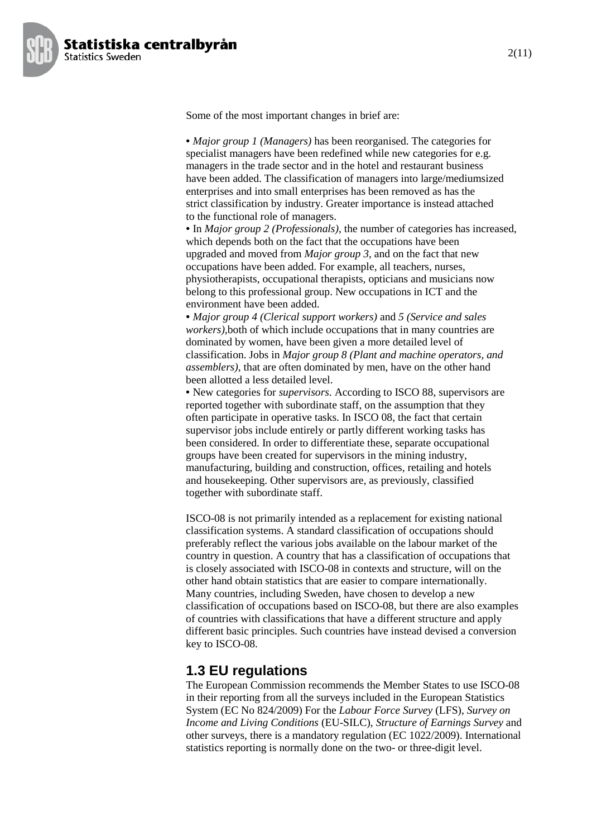

Some of the most important changes in brief are:

• *Major group 1 (Managers)* has been reorganised. The categories for specialist managers have been redefined while new categories for e.g. managers in the trade sector and in the hotel and restaurant business have been added. The classification of managers into large/mediumsized enterprises and into small enterprises has been removed as has the strict classification by industry. Greater importance is instead attached to the functional role of managers.

• In *Major group 2 (Professionals)*, the number of categories has increased, which depends both on the fact that the occupations have been upgraded and moved from *Major group 3*, and on the fact that new occupations have been added. For example, all teachers, nurses, physiotherapists, occupational therapists, opticians and musicians now belong to this professional group. New occupations in ICT and the environment have been added.

• *Major group 4 (Clerical support workers)* and *5 (Service and sales workers),*both of which include occupations that in many countries are dominated by women, have been given a more detailed level of classification. Jobs in *Major group 8 (Plant and machine operators, and assemblers)*, that are often dominated by men, have on the other hand been allotted a less detailed level.

• New categories for *supervisors*. According to ISCO 88, supervisors are reported together with subordinate staff, on the assumption that they often participate in operative tasks. In ISCO 08, the fact that certain supervisor jobs include entirely or partly different working tasks has been considered. In order to differentiate these, separate occupational groups have been created for supervisors in the mining industry, manufacturing, building and construction, offices, retailing and hotels and housekeeping. Other supervisors are, as previously, classified together with subordinate staff.

ISCO-08 is not primarily intended as a replacement for existing national classification systems. A standard classification of occupations should preferably reflect the various jobs available on the labour market of the country in question. A country that has a classification of occupations that is closely associated with ISCO-08 in contexts and structure, will on the other hand obtain statistics that are easier to compare internationally. Many countries, including Sweden, have chosen to develop a new classification of occupations based on ISCO-08, but there are also examples of countries with classifications that have a different structure and apply different basic principles. Such countries have instead devised a conversion key to ISCO-08.

### **1.3 EU regulations**

The European Commission recommends the Member States to use ISCO-08 in their reporting from all the surveys included in the European Statistics System (EC No 824/2009) For the *Labour Force Survey* (LFS), *Survey on Income and Living Conditions* (EU-SILC), *Structure of Earnings Survey* and other surveys, there is a mandatory regulation (EC 1022/2009). International statistics reporting is normally done on the two- or three-digit level.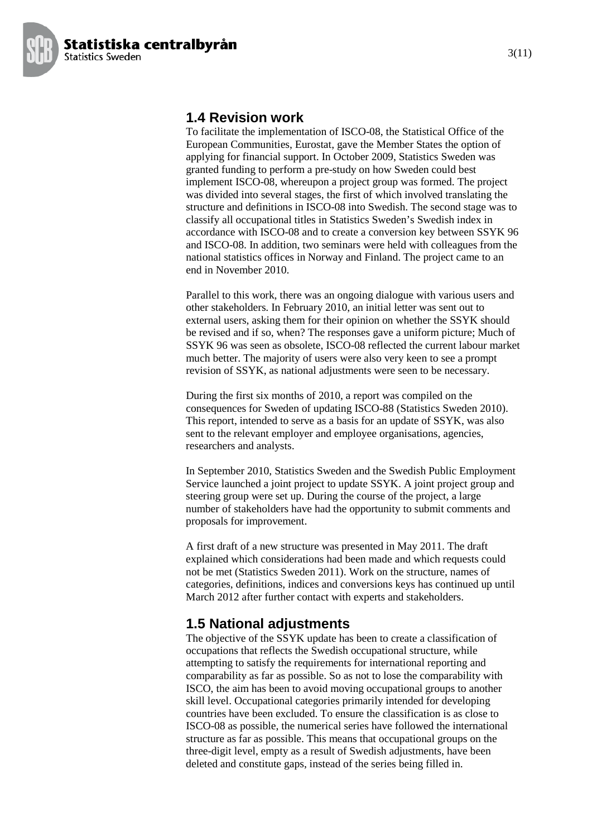

#### **1.4 Revision work**

To facilitate the implementation of ISCO-08, the Statistical Office of the European Communities, Eurostat, gave the Member States the option of applying for financial support. In October 2009, Statistics Sweden was granted funding to perform a pre-study on how Sweden could best implement ISCO-08, whereupon a project group was formed. The project was divided into several stages, the first of which involved translating the structure and definitions in ISCO-08 into Swedish. The second stage was to classify all occupational titles in Statistics Sweden's Swedish index in accordance with ISCO-08 and to create a conversion key between SSYK 96 and ISCO-08. In addition, two seminars were held with colleagues from the national statistics offices in Norway and Finland. The project came to an end in November 2010.

Parallel to this work, there was an ongoing dialogue with various users and other stakeholders. In February 2010, an initial letter was sent out to external users, asking them for their opinion on whether the SSYK should be revised and if so, when? The responses gave a uniform picture; Much of SSYK 96 was seen as obsolete, ISCO-08 reflected the current labour market much better. The majority of users were also very keen to see a prompt revision of SSYK, as national adjustments were seen to be necessary.

During the first six months of 2010, a report was compiled on the consequences for Sweden of updating ISCO-88 (Statistics Sweden 2010). This report, intended to serve as a basis for an update of SSYK, was also sent to the relevant employer and employee organisations, agencies, researchers and analysts.

In September 2010, Statistics Sweden and the Swedish Public Employment Service launched a joint project to update SSYK. A joint project group and steering group were set up. During the course of the project, a large number of stakeholders have had the opportunity to submit comments and proposals for improvement.

A first draft of a new structure was presented in May 2011. The draft explained which considerations had been made and which requests could not be met (Statistics Sweden 2011). Work on the structure, names of categories, definitions, indices and conversions keys has continued up until March 2012 after further contact with experts and stakeholders.

### **1.5 National adjustments**

The objective of the SSYK update has been to create a classification of occupations that reflects the Swedish occupational structure, while attempting to satisfy the requirements for international reporting and comparability as far as possible. So as not to lose the comparability with ISCO, the aim has been to avoid moving occupational groups to another skill level. Occupational categories primarily intended for developing countries have been excluded. To ensure the classification is as close to ISCO-08 as possible, the numerical series have followed the international structure as far as possible. This means that occupational groups on the three-digit level, empty as a result of Swedish adjustments, have been deleted and constitute gaps, instead of the series being filled in.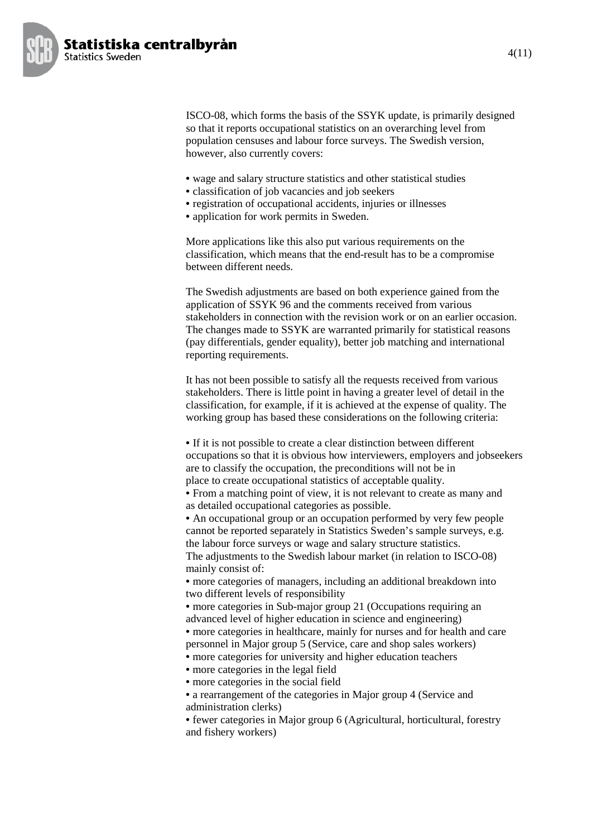

ISCO-08, which forms the basis of the SSYK update, is primarily designed so that it reports occupational statistics on an overarching level from population censuses and labour force surveys. The Swedish version, however, also currently covers:

- wage and salary structure statistics and other statistical studies
- classification of job vacancies and job seekers
- registration of occupational accidents, injuries or illnesses
- application for work permits in Sweden.

More applications like this also put various requirements on the classification, which means that the end-result has to be a compromise between different needs.

The Swedish adjustments are based on both experience gained from the application of SSYK 96 and the comments received from various stakeholders in connection with the revision work or on an earlier occasion. The changes made to SSYK are warranted primarily for statistical reasons (pay differentials, gender equality), better job matching and international reporting requirements.

It has not been possible to satisfy all the requests received from various stakeholders. There is little point in having a greater level of detail in the classification, for example, if it is achieved at the expense of quality. The working group has based these considerations on the following criteria:

• If it is not possible to create a clear distinction between different occupations so that it is obvious how interviewers, employers and jobseekers are to classify the occupation, the preconditions will not be in place to create occupational statistics of acceptable quality.

• From a matching point of view, it is not relevant to create as many and as detailed occupational categories as possible.

• An occupational group or an occupation performed by very few people cannot be reported separately in Statistics Sweden's sample surveys, e.g. the labour force surveys or wage and salary structure statistics.

The adjustments to the Swedish labour market (in relation to ISCO-08) mainly consist of:

• more categories of managers, including an additional breakdown into two different levels of responsibility

• more categories in Sub-major group 21 (Occupations requiring an advanced level of higher education in science and engineering)

• more categories in healthcare, mainly for nurses and for health and care personnel in Major group 5 (Service, care and shop sales workers)

• more categories for university and higher education teachers

• more categories in the legal field

• more categories in the social field

• a rearrangement of the categories in Major group 4 (Service and administration clerks)

• fewer categories in Major group 6 (Agricultural, horticultural, forestry and fishery workers)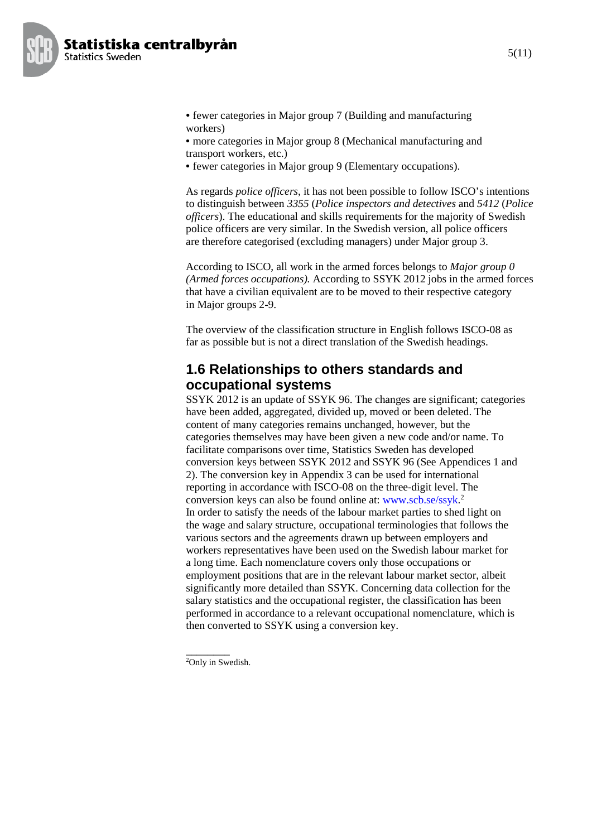

- fewer categories in Major group 7 (Building and manufacturing workers)
- more categories in Major group 8 (Mechanical manufacturing and transport workers, etc.)
- fewer categories in Major group 9 (Elementary occupations).

As regards *police officers*, it has not been possible to follow ISCO's intentions to distinguish between *3355* (*Police inspectors and detectives* and *5412* (*Police officers*). The educational and skills requirements for the majority of Swedish police officers are very similar. In the Swedish version, all police officers are therefore categorised (excluding managers) under Major group 3.

According to ISCO, all work in the armed forces belongs to *Major group 0 (Armed forces occupations).* According to SSYK 2012 jobs in the armed forces that have a civilian equivalent are to be moved to their respective category in Major groups 2-9.

The overview of the classification structure in English follows ISCO-08 as far as possible but is not a direct translation of the Swedish headings.

#### **1.6 Relationships to others standards and occupational systems**

SSYK 2012 is an update of SSYK 96. The changes are significant; categories have been added, aggregated, divided up, moved or been deleted. The content of many categories remains unchanged, however, but the categories themselves may have been given a new code and/or name. To facilitate comparisons over time, Statistics Sweden has developed conversion keys between SSYK 2012 and SSYK 96 (See Appendices 1 and 2). The conversion key in Appendix 3 can be used for international reporting in accordance with ISCO-08 on the three-digit level. The conversion keys can also be found online at: www.scb.se/ssyk. 2 In order to satisfy the needs of the labour market parties to shed light on the wage and salary structure, occupational terminologies that follows the various sectors and the agreements drawn up between employers and workers representatives have been used on the Swedish labour market for a long time. Each nomenclature covers only those occupations or employment positions that are in the relevant labour market sector, albeit significantly more detailed than SSYK. Concerning data collection for the salary statistics and the occupational register, the classification has been performed in accordance to a relevant occupational nomenclature, which is then converted to SSYK using a conversion key.

 $\overline{\phantom{a}}$ 

<sup>2</sup>Only in Swedish.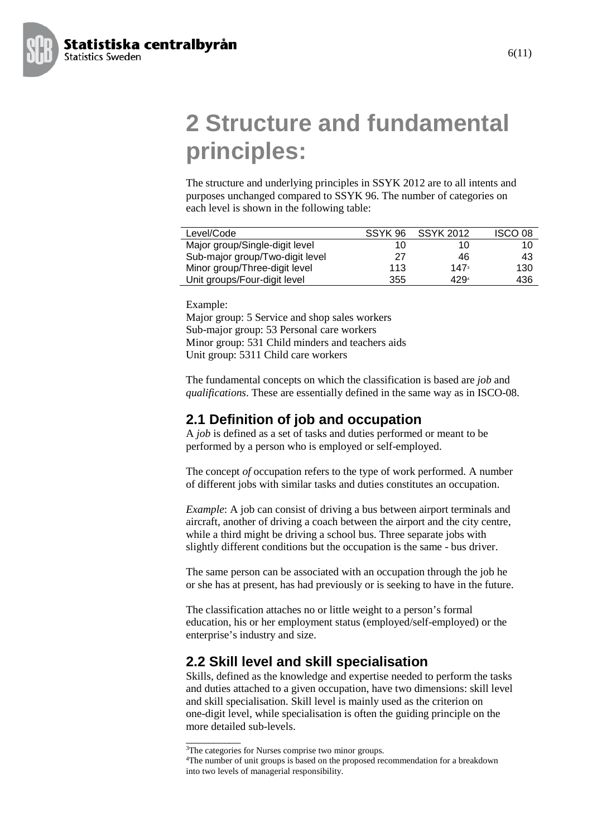**2 Structure and fundamental principles:**

The structure and underlying principles in SSYK 2012 are to all intents and purposes unchanged compared to SSYK 96. The number of categories on each level is shown in the following table:

| Level/Code                      | SSYK 96 | <b>SSYK 2012</b> | ISCO 08 |
|---------------------------------|---------|------------------|---------|
| Major group/Single-digit level  | 10      | 10.              | 10      |
| Sub-major group/Two-digit level | 27      | 46               | 43      |
| Minor group/Three-digit level   | 113     | 147 <sup>3</sup> | 130     |
| Unit groups/Four-digit level    | 355     | 4294             | 436     |

Example:

Major group: 5 Service and shop sales workers Sub-major group: 53 Personal care workers Minor group: 531 Child minders and teachers aids Unit group: 5311 Child care workers

The fundamental concepts on which the classification is based are *job* and *qualifications*. These are essentially defined in the same way as in ISCO-08.

#### **2.1 Definition of job and occupation**

A *job* is defined as a set of tasks and duties performed or meant to be performed by a person who is employed or self-employed.

The concept *of* occupation refers to the type of work performed. A number of different jobs with similar tasks and duties constitutes an occupation.

*Example*: A job can consist of driving a bus between airport terminals and aircraft, another of driving a coach between the airport and the city centre, while a third might be driving a school bus. Three separate jobs with slightly different conditions but the occupation is the same - bus driver.

The same person can be associated with an occupation through the job he or she has at present, has had previously or is seeking to have in the future.

The classification attaches no or little weight to a person's formal education, his or her employment status (employed/self-employed) or the enterprise's industry and size.

#### **2.2 Skill level and skill specialisation**

Skills, defined as the knowledge and expertise needed to perform the tasks and duties attached to a given occupation, have two dimensions: skill level and skill specialisation. Skill level is mainly used as the criterion on one-digit level, while specialisation is often the guiding principle on the more detailed sub-levels.

\_\_\_\_\_\_\_\_\_\_



**Statistics Sweden** 

<sup>&</sup>lt;sup>3</sup>The categories for Nurses comprise two minor groups.

<sup>4</sup>The number of unit groups is based on the proposed recommendation for a breakdown into two levels of managerial responsibility.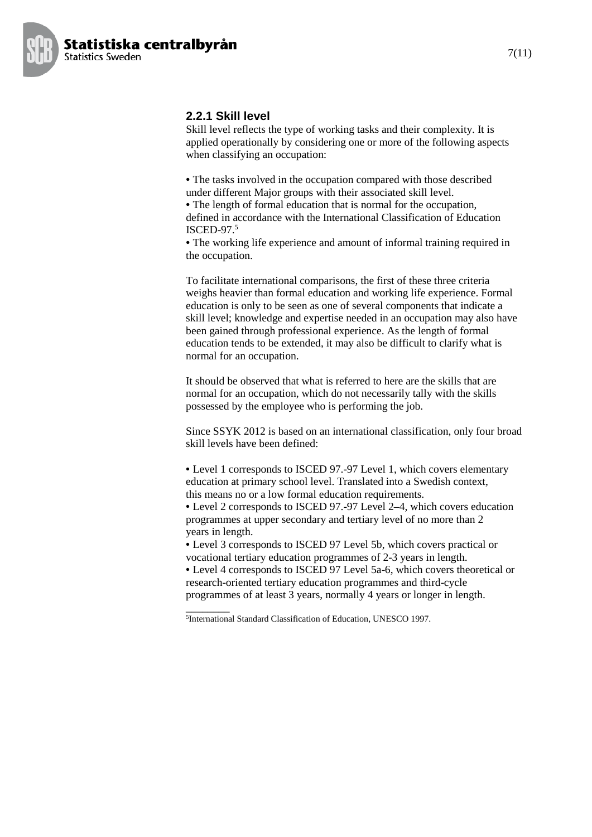

#### **2.2.1 Skill level**

Skill level reflects the type of working tasks and their complexity. It is applied operationally by considering one or more of the following aspects when classifying an occupation:

• The tasks involved in the occupation compared with those described under different Major groups with their associated skill level.

• The length of formal education that is normal for the occupation, defined in accordance with the International Classification of Education ISCED-97. 5

• The working life experience and amount of informal training required in the occupation.

To facilitate international comparisons, the first of these three criteria weighs heavier than formal education and working life experience. Formal education is only to be seen as one of several components that indicate a skill level; knowledge and expertise needed in an occupation may also have been gained through professional experience. As the length of formal education tends to be extended, it may also be difficult to clarify what is normal for an occupation.

It should be observed that what is referred to here are the skills that are normal for an occupation, which do not necessarily tally with the skills possessed by the employee who is performing the job.

Since SSYK 2012 is based on an international classification, only four broad skill levels have been defined:

• Level 1 corresponds to ISCED 97.-97 Level 1, which covers elementary education at primary school level. Translated into a Swedish context, this means no or a low formal education requirements.

• Level 2 corresponds to ISCED 97.-97 Level 2–4, which covers education programmes at upper secondary and tertiary level of no more than 2 years in length.

• Level 3 corresponds to ISCED 97 Level 5b, which covers practical or vocational tertiary education programmes of 2-3 years in length.

• Level 4 corresponds to ISCED 97 Level 5a-6, which covers theoretical or research-oriented tertiary education programmes and third-cycle programmes of at least 3 years, normally 4 years or longer in length.

 $\overline{\phantom{a}}$ 5International Standard Classification of Education, UNESCO 1997.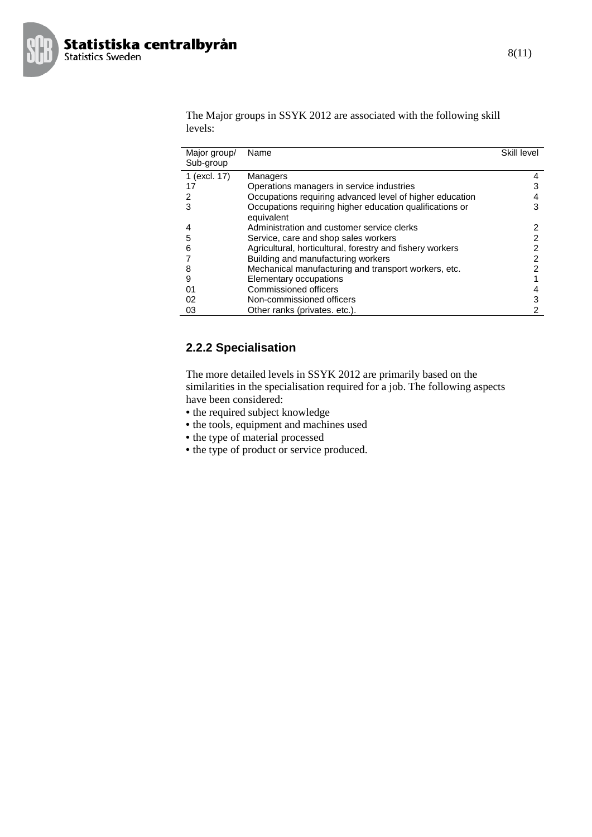

The Major groups in SSYK 2012 are associated with the following skill levels:

| Major group/ | Name                                                      | Skill level |
|--------------|-----------------------------------------------------------|-------------|
| Sub-group    |                                                           |             |
| 1 (excl. 17) | Managers                                                  | 4           |
|              |                                                           |             |
| 17           | Operations managers in service industries                 |             |
| 2            | Occupations requiring advanced level of higher education  |             |
| 3            | Occupations requiring higher education qualifications or  | 3           |
|              | equivalent                                                |             |
|              | Administration and customer service clerks                | 2           |
| 5            | Service, care and shop sales workers                      | 2           |
| 6            | Agricultural, horticultural, forestry and fishery workers |             |
|              | Building and manufacturing workers                        | 2           |
| 8            | Mechanical manufacturing and transport workers, etc.      |             |
| 9            | Elementary occupations                                    |             |
| 01           | <b>Commissioned officers</b>                              | 4           |
| 02           | Non-commissioned officers                                 | 3           |
| 03           | Other ranks (privates. etc.).                             | 2           |

#### **2.2.2 Specialisation**

The more detailed levels in SSYK 2012 are primarily based on the similarities in the specialisation required for a job. The following aspects have been considered:

- the required subject knowledge
- the tools, equipment and machines used
- the type of material processed
- the type of product or service produced.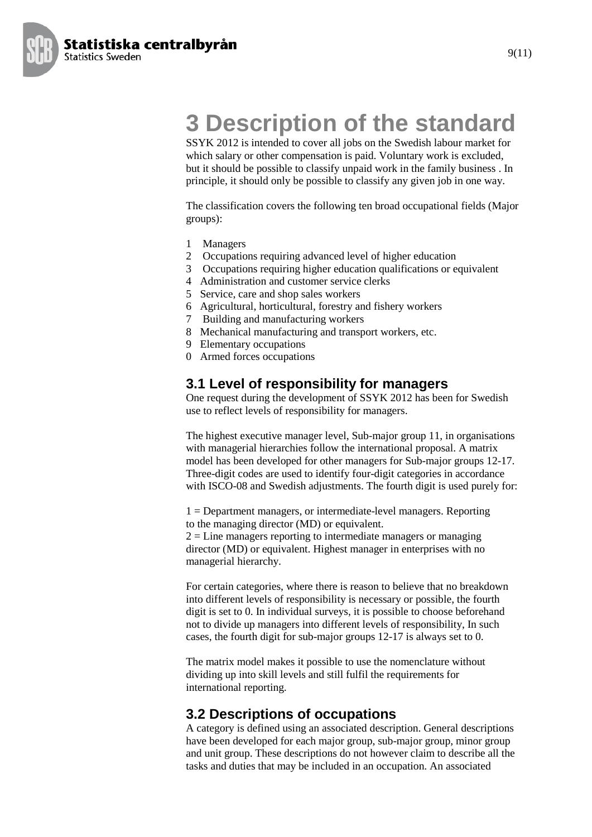Statistiska centralbyrån **Statistics Sweden** 



# **3 Description of the standard**

SSYK 2012 is intended to cover all jobs on the Swedish labour market for which salary or other compensation is paid. Voluntary work is excluded, but it should be possible to classify unpaid work in the family business . In principle, it should only be possible to classify any given job in one way.

The classification covers the following ten broad occupational fields (Major groups):

- 1 Managers
- 2 Occupations requiring advanced level of higher education
- 3 Occupations requiring higher education qualifications or equivalent
- 4 Administration and customer service clerks
- 5 Service, care and shop sales workers
- 6 Agricultural, horticultural, forestry and fishery workers
- 7 Building and manufacturing workers
- 8 Mechanical manufacturing and transport workers, etc.
- 9 Elementary occupations
- 0 Armed forces occupations

#### **3.1 Level of responsibility for managers**

One request during the development of SSYK 2012 has been for Swedish use to reflect levels of responsibility for managers.

The highest executive manager level, Sub-major group 11, in organisations with managerial hierarchies follow the international proposal. A matrix model has been developed for other managers for Sub-major groups 12-17. Three-digit codes are used to identify four-digit categories in accordance with ISCO-08 and Swedish adjustments. The fourth digit is used purely for:

1 = Department managers, or intermediate-level managers. Reporting to the managing director (MD) or equivalent.

 $2 =$  Line managers reporting to intermediate managers or managing director (MD) or equivalent. Highest manager in enterprises with no managerial hierarchy.

For certain categories, where there is reason to believe that no breakdown into different levels of responsibility is necessary or possible, the fourth digit is set to 0. In individual surveys, it is possible to choose beforehand not to divide up managers into different levels of responsibility, In such cases, the fourth digit for sub-major groups 12-17 is always set to 0.

The matrix model makes it possible to use the nomenclature without dividing up into skill levels and still fulfil the requirements for international reporting.

#### **3.2 Descriptions of occupations**

A category is defined using an associated description. General descriptions have been developed for each major group, sub-major group, minor group and unit group. These descriptions do not however claim to describe all the tasks and duties that may be included in an occupation. An associated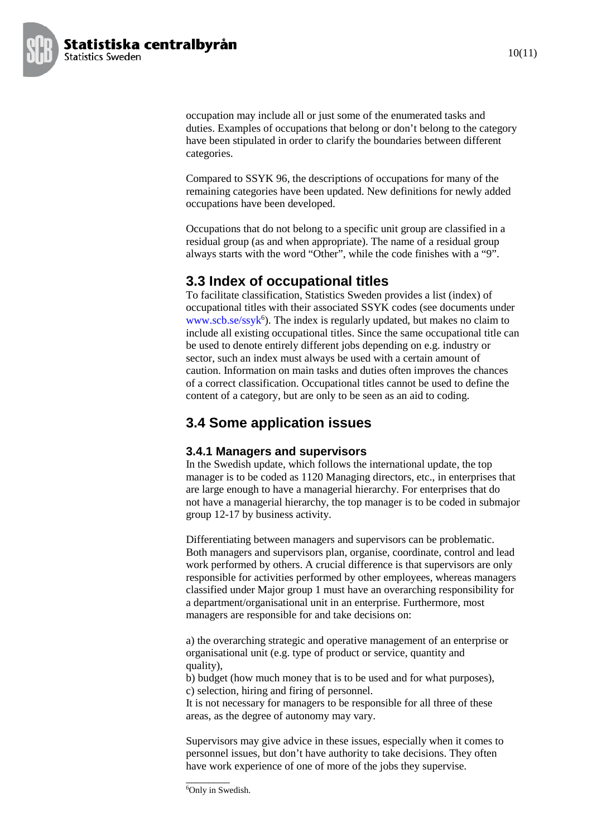

occupation may include all or just some of the enumerated tasks and duties. Examples of occupations that belong or don't belong to the category have been stipulated in order to clarify the boundaries between different categories.

Compared to SSYK 96, the descriptions of occupations for many of the remaining categories have been updated. New definitions for newly added occupations have been developed.

Occupations that do not belong to a specific unit group are classified in a residual group (as and when appropriate). The name of a residual group always starts with the word "Other", while the code finishes with a "9".

### **3.3 Index of occupational titles**

To facilitate classification, Statistics Sweden provides a list (index) of occupational titles with their associated SSYK codes (see documents under www.scb.se/ssyk<sup>6</sup>). The index is regularly updated, but makes no claim to include all existing occupational titles. Since the same occupational title can be used to denote entirely different jobs depending on e.g. industry or sector, such an index must always be used with a certain amount of caution. Information on main tasks and duties often improves the chances of a correct classification. Occupational titles cannot be used to define the content of a category, but are only to be seen as an aid to coding.

## **3.4 Some application issues**

#### **3.4.1 Managers and supervisors**

In the Swedish update, which follows the international update, the top manager is to be coded as 1120 Managing directors, etc., in enterprises that are large enough to have a managerial hierarchy. For enterprises that do not have a managerial hierarchy, the top manager is to be coded in submajor group 12-17 by business activity.

Differentiating between managers and supervisors can be problematic. Both managers and supervisors plan, organise, coordinate, control and lead work performed by others. A crucial difference is that supervisors are only responsible for activities performed by other employees, whereas managers classified under Major group 1 must have an overarching responsibility for a department/organisational unit in an enterprise. Furthermore, most managers are responsible for and take decisions on:

a) the overarching strategic and operative management of an enterprise or organisational unit (e.g. type of product or service, quantity and quality),

b) budget (how much money that is to be used and for what purposes), c) selection, hiring and firing of personnel.

It is not necessary for managers to be responsible for all three of these areas, as the degree of autonomy may vary.

Supervisors may give advice in these issues, especially when it comes to personnel issues, but don't have authority to take decisions. They often have work experience of one of more of the jobs they supervise.

\_\_\_\_\_\_\_\_ 6Only in Swedish.